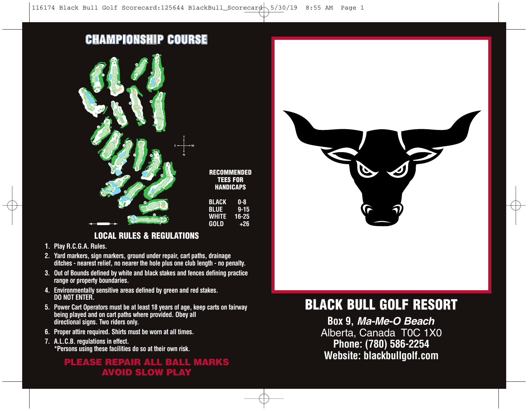## **CHAMPIONSHIP COURSE**



#### **LOCAL RULES & REGULATIONS**

- **1. Play R.C.G.A. Rules.**
- **2. Yard markers, sign markers, ground under repair, cart paths, drainage ditches - nearest relief, no nearer the hole plus one club length - no penalty.**
- **3. Out of Bounds defined by white and black stakes and fences defining practice range or property boundaries.**
- **4. Environmentally sensitive areas defined by green and red stakes. DO NOT ENTER.**
- **5. Power Cart Operators must be at least 18 years of age, keep carts on fairway being played and on cart paths where provided. Obey all directional signs. Two riders only.**
- **6. Proper attire required. Shirts must be worn at all times.**
- **7. A.L.C.B. regulations in effect. \*Persons using these facilities do so at their own risk.**

### **AVOID SLOW PLAY PLEASE REPAIR ALL BALL MARKS**



# **BLACK BULL GOLF RESORT**

**Box 9,** *Ma-Me-O Beach* Alberta, Canada T0C 1X0 **Phone: (780) 586-2254 Website: blackbullgolf.com**